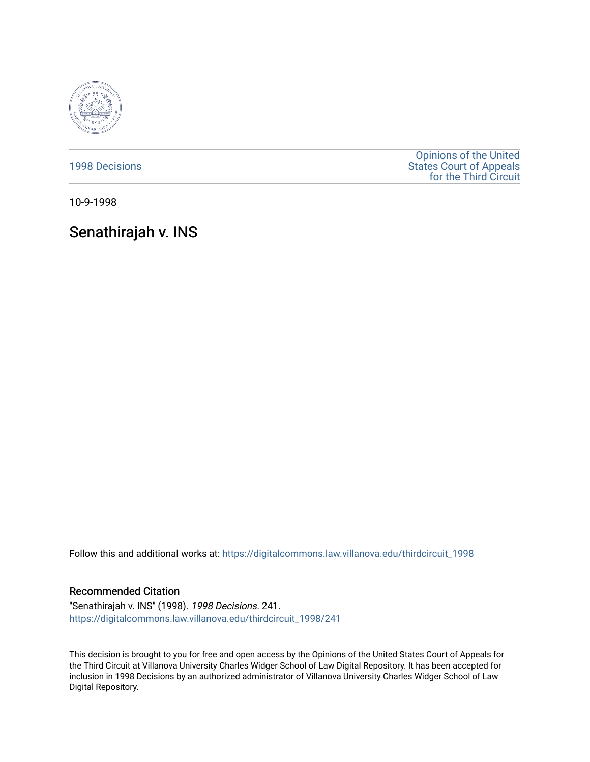

[1998 Decisions](https://digitalcommons.law.villanova.edu/thirdcircuit_1998)

[Opinions of the United](https://digitalcommons.law.villanova.edu/thirdcircuit)  [States Court of Appeals](https://digitalcommons.law.villanova.edu/thirdcircuit)  [for the Third Circuit](https://digitalcommons.law.villanova.edu/thirdcircuit) 

10-9-1998

## Senathirajah v. INS

Follow this and additional works at: [https://digitalcommons.law.villanova.edu/thirdcircuit\\_1998](https://digitalcommons.law.villanova.edu/thirdcircuit_1998?utm_source=digitalcommons.law.villanova.edu%2Fthirdcircuit_1998%2F241&utm_medium=PDF&utm_campaign=PDFCoverPages) 

## Recommended Citation

"Senathirajah v. INS" (1998). 1998 Decisions. 241. [https://digitalcommons.law.villanova.edu/thirdcircuit\\_1998/241](https://digitalcommons.law.villanova.edu/thirdcircuit_1998/241?utm_source=digitalcommons.law.villanova.edu%2Fthirdcircuit_1998%2F241&utm_medium=PDF&utm_campaign=PDFCoverPages)

This decision is brought to you for free and open access by the Opinions of the United States Court of Appeals for the Third Circuit at Villanova University Charles Widger School of Law Digital Repository. It has been accepted for inclusion in 1998 Decisions by an authorized administrator of Villanova University Charles Widger School of Law Digital Repository.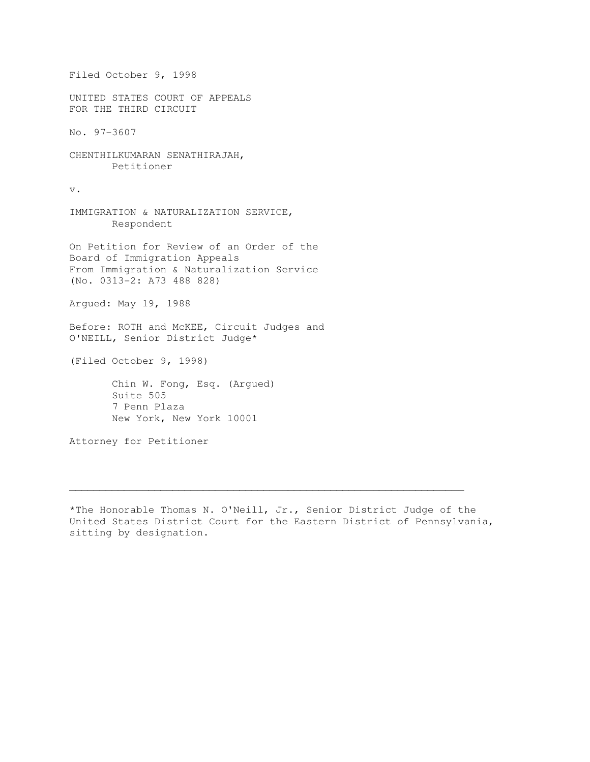Filed October 9, 1998 UNITED STATES COURT OF APPEALS FOR THE THIRD CIRCUIT No. 97-3607 CHENTHILKUMARAN SENATHIRAJAH, Petitioner v. IMMIGRATION & NATURALIZATION SERVICE, Respondent On Petition for Review of an Order of the Board of Immigration Appeals From Immigration & Naturalization Service (No. 0313-2: A73 488 828) Argued: May 19, 1988 Before: ROTH and McKEE, Circuit Judges and O'NEILL, Senior District Judge\* (Filed October 9, 1998) Chin W. Fong, Esq. (Argued) Suite 505 7 Penn Plaza New York, New York 10001 Attorney for Petitioner

\*The Honorable Thomas N. O'Neill, Jr., Senior District Judge of the United States District Court for the Eastern District of Pennsylvania, sitting by designation.

 $\mathcal{L}_\mathcal{L} = \{ \mathcal{L}_\mathcal{L} = \{ \mathcal{L}_\mathcal{L} = \{ \mathcal{L}_\mathcal{L} = \{ \mathcal{L}_\mathcal{L} = \{ \mathcal{L}_\mathcal{L} = \{ \mathcal{L}_\mathcal{L} = \{ \mathcal{L}_\mathcal{L} = \{ \mathcal{L}_\mathcal{L} = \{ \mathcal{L}_\mathcal{L} = \{ \mathcal{L}_\mathcal{L} = \{ \mathcal{L}_\mathcal{L} = \{ \mathcal{L}_\mathcal{L} = \{ \mathcal{L}_\mathcal{L} = \{ \mathcal{L}_\mathcal{$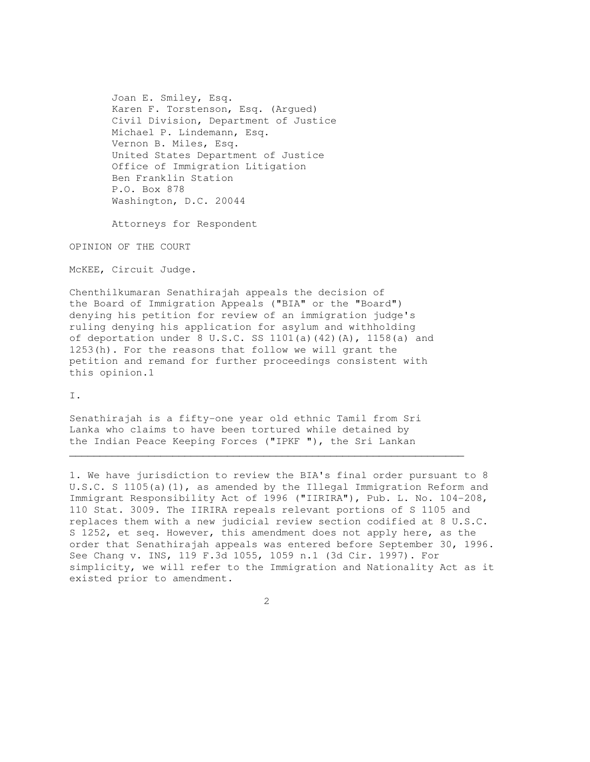Joan E. Smiley, Esq. Karen F. Torstenson, Esq. (Argued) Civil Division, Department of Justice Michael P. Lindemann, Esq. Vernon B. Miles, Esq. United States Department of Justice Office of Immigration Litigation Ben Franklin Station P.O. Box 878 Washington, D.C. 20044

Attorneys for Respondent

OPINION OF THE COURT

McKEE, Circuit Judge.

Chenthilkumaran Senathirajah appeals the decision of the Board of Immigration Appeals ("BIA" or the "Board") denying his petition for review of an immigration judge's ruling denying his application for asylum and withholding of deportation under 8 U.S.C. SS  $1101(a)$  (42)(A),  $1158(a)$  and 1253(h). For the reasons that follow we will grant the petition and remand for further proceedings consistent with this opinion.1

I.

Senathirajah is a fifty-one year old ethnic Tamil from Sri Lanka who claims to have been tortured while detained by the Indian Peace Keeping Forces ("IPKF "), the Sri Lankan

1. We have jurisdiction to review the BIA's final order pursuant to 8 U.S.C. S 1105(a)(1), as amended by the Illegal Immigration Reform and Immigrant Responsibility Act of 1996 ("IIRIRA"), Pub. L. No. 104-208, 110 Stat. 3009. The IIRIRA repeals relevant portions of S 1105 and replaces them with a new judicial review section codified at 8 U.S.C. S 1252, et seq. However, this amendment does not apply here, as the order that Senathirajah appeals was entered before September 30, 1996. See Chang v. INS, 119 F.3d 1055, 1059 n.1 (3d Cir. 1997). For simplicity, we will refer to the Immigration and Nationality Act as it existed prior to amendment.

 $\mathcal{L}_\mathcal{L} = \{ \mathcal{L}_\mathcal{L} = \{ \mathcal{L}_\mathcal{L} = \{ \mathcal{L}_\mathcal{L} = \{ \mathcal{L}_\mathcal{L} = \{ \mathcal{L}_\mathcal{L} = \{ \mathcal{L}_\mathcal{L} = \{ \mathcal{L}_\mathcal{L} = \{ \mathcal{L}_\mathcal{L} = \{ \mathcal{L}_\mathcal{L} = \{ \mathcal{L}_\mathcal{L} = \{ \mathcal{L}_\mathcal{L} = \{ \mathcal{L}_\mathcal{L} = \{ \mathcal{L}_\mathcal{L} = \{ \mathcal{L}_\mathcal{$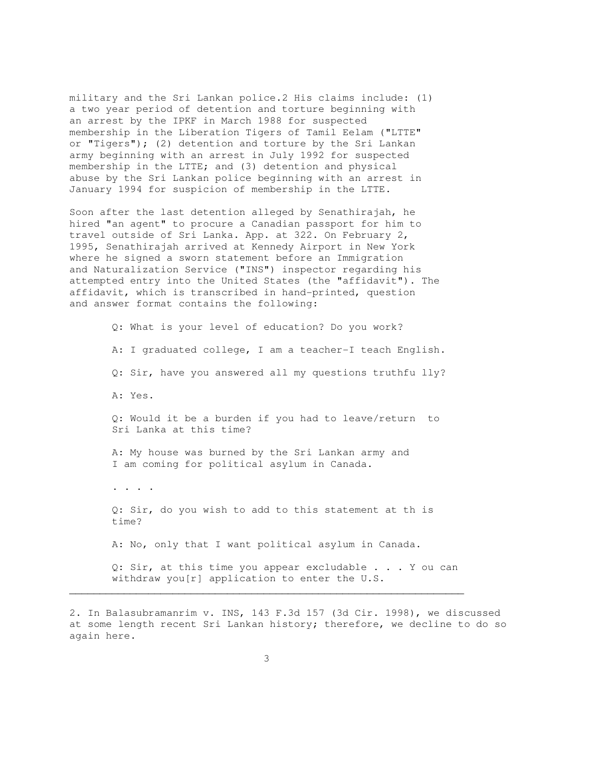military and the Sri Lankan police.2 His claims include: (1) a two year period of detention and torture beginning with an arrest by the IPKF in March 1988 for suspected membership in the Liberation Tigers of Tamil Eelam ("LTTE" or "Tigers"); (2) detention and torture by the Sri Lankan army beginning with an arrest in July 1992 for suspected membership in the LTTE; and (3) detention and physical abuse by the Sri Lankan police beginning with an arrest in January 1994 for suspicion of membership in the LTTE.

Soon after the last detention alleged by Senathirajah, he hired "an agent" to procure a Canadian passport for him to travel outside of Sri Lanka. App. at 322. On February 2, 1995, Senathirajah arrived at Kennedy Airport in New York where he signed a sworn statement before an Immigration and Naturalization Service ("INS") inspector regarding his attempted entry into the United States (the "affidavit"). The affidavit, which is transcribed in hand-printed, question and answer format contains the following:

> Q: What is your level of education? Do you work? A: I graduated college, I am a teacher-I teach English. Q: Sir, have you answered all my questions truthfu lly? A: Yes. Q: Would it be a burden if you had to leave/return to Sri Lanka at this time? A: My house was burned by the Sri Lankan army and I am coming for political asylum in Canada. . . . . Q: Sir, do you wish to add to this statement at th is time? A: No, only that I want political asylum in Canada. Q: Sir, at this time you appear excludable . . . Y ou can withdraw you[r] application to enter the U.S.

2. In Balasubramanrim v. INS, 143 F.3d 157 (3d Cir. 1998), we discussed at some length recent Sri Lankan history; therefore, we decline to do so again here.

 $\mathcal{L}_\mathcal{L}$  , and the set of the set of the set of the set of the set of the set of the set of the set of the set of the set of the set of the set of the set of the set of the set of the set of the set of the set of th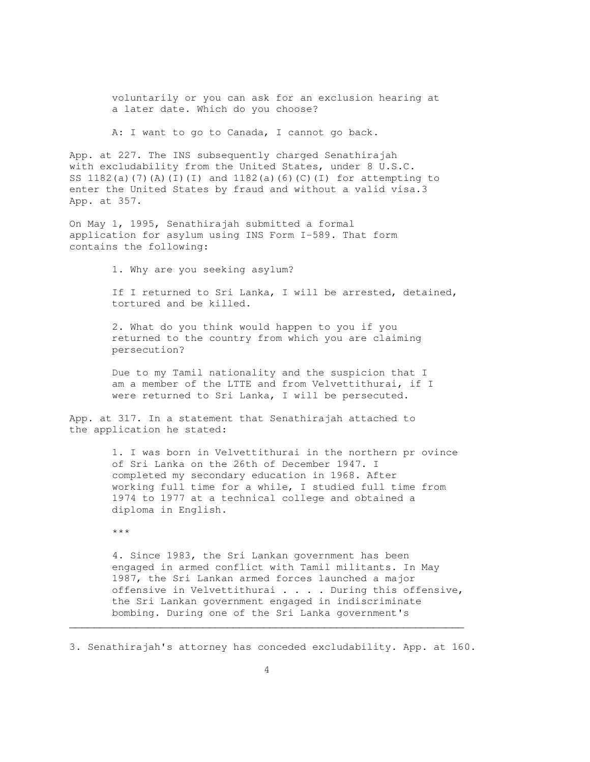voluntarily or you can ask for an exclusion hearing at a later date. Which do you choose?

A: I want to go to Canada, I cannot go back.

App. at 227. The INS subsequently charged Senathirajah with excludability from the United States, under 8 U.S.C. SS  $1182(a)$  (7)(A)(I)(I) and  $1182(a)$ (6)(C)(I) for attempting to enter the United States by fraud and without a valid visa.3 App. at 357.

On May 1, 1995, Senathirajah submitted a formal application for asylum using INS Form I-589. That form contains the following:

1. Why are you seeking asylum?

 If I returned to Sri Lanka, I will be arrested, detained, tortured and be killed.

 2. What do you think would happen to you if you returned to the country from which you are claiming persecution?

 Due to my Tamil nationality and the suspicion that I am a member of the LTTE and from Velvettithurai, if I were returned to Sri Lanka, I will be persecuted.

App. at 317. In a statement that Senathirajah attached to the application he stated:

> 1. I was born in Velvettithurai in the northern pr ovince of Sri Lanka on the 26th of December 1947. I completed my secondary education in 1968. After working full time for a while, I studied full time from 1974 to 1977 at a technical college and obtained a diploma in English.

\*\*\*

 4. Since 1983, the Sri Lankan government has been engaged in armed conflict with Tamil militants. In May 1987, the Sri Lankan armed forces launched a major offensive in Velvettithurai . . . . During this offensive, the Sri Lankan government engaged in indiscriminate bombing. During one of the Sri Lanka government's

3. Senathirajah's attorney has conceded excludability. App. at 160.

 $\mathcal{L}_\mathcal{L} = \{ \mathcal{L}_\mathcal{L} = \{ \mathcal{L}_\mathcal{L} = \{ \mathcal{L}_\mathcal{L} = \{ \mathcal{L}_\mathcal{L} = \{ \mathcal{L}_\mathcal{L} = \{ \mathcal{L}_\mathcal{L} = \{ \mathcal{L}_\mathcal{L} = \{ \mathcal{L}_\mathcal{L} = \{ \mathcal{L}_\mathcal{L} = \{ \mathcal{L}_\mathcal{L} = \{ \mathcal{L}_\mathcal{L} = \{ \mathcal{L}_\mathcal{L} = \{ \mathcal{L}_\mathcal{L} = \{ \mathcal{L}_\mathcal{$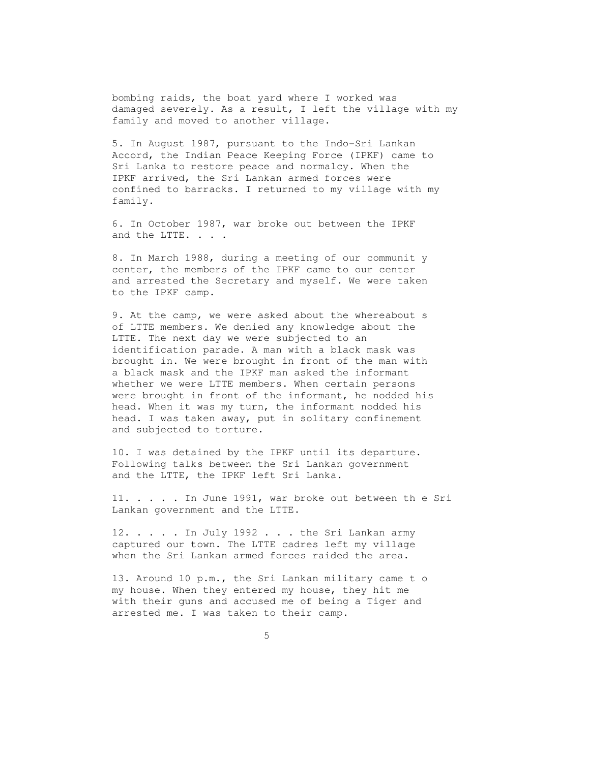bombing raids, the boat yard where I worked was damaged severely. As a result, I left the village with my family and moved to another village.

 5. In August 1987, pursuant to the Indo-Sri Lankan Accord, the Indian Peace Keeping Force (IPKF) came to Sri Lanka to restore peace and normalcy. When the IPKF arrived, the Sri Lankan armed forces were confined to barracks. I returned to my village with my family.

 6. In October 1987, war broke out between the IPKF and the LTTE. . . .

 8. In March 1988, during a meeting of our communit y center, the members of the IPKF came to our center and arrested the Secretary and myself. We were taken to the IPKF camp.

 9. At the camp, we were asked about the whereabout s of LTTE members. We denied any knowledge about the LTTE. The next day we were subjected to an identification parade. A man with a black mask was brought in. We were brought in front of the man with a black mask and the IPKF man asked the informant whether we were LTTE members. When certain persons were brought in front of the informant, he nodded his head. When it was my turn, the informant nodded his head. I was taken away, put in solitary confinement and subjected to torture.

 10. I was detained by the IPKF until its departure. Following talks between the Sri Lankan government and the LTTE, the IPKF left Sri Lanka.

 11. . . . . In June 1991, war broke out between th e Sri Lankan government and the LTTE.

12. . . . . In July 1992 . . . the Sri Lankan army captured our town. The LTTE cadres left my village when the Sri Lankan armed forces raided the area.

 13. Around 10 p.m., the Sri Lankan military came t o my house. When they entered my house, they hit me with their guns and accused me of being a Tiger and arrested me. I was taken to their camp.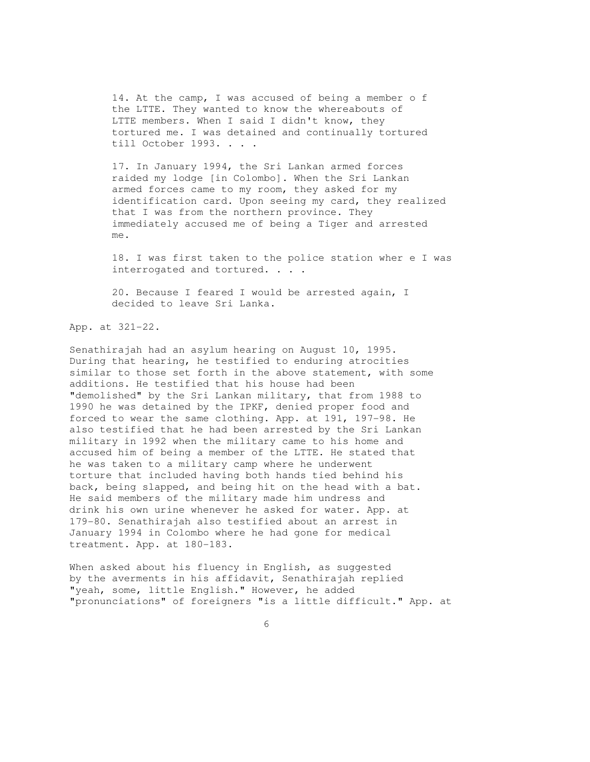14. At the camp, I was accused of being a member o f the LTTE. They wanted to know the whereabouts of LTTE members. When I said I didn't know, they tortured me. I was detained and continually tortured till October 1993. . . .

 17. In January 1994, the Sri Lankan armed forces raided my lodge [in Colombo]. When the Sri Lankan armed forces came to my room, they asked for my identification card. Upon seeing my card, they realized that I was from the northern province. They immediately accused me of being a Tiger and arrested me.

 18. I was first taken to the police station wher e I was interrogated and tortured. . . .

 20. Because I feared I would be arrested again, I decided to leave Sri Lanka.

App. at 321-22.

Senathirajah had an asylum hearing on August 10, 1995. During that hearing, he testified to enduring atrocities similar to those set forth in the above statement, with some additions. He testified that his house had been "demolished" by the Sri Lankan military, that from 1988 to 1990 he was detained by the IPKF, denied proper food and forced to wear the same clothing. App. at 191, 197-98. He also testified that he had been arrested by the Sri Lankan military in 1992 when the military came to his home and accused him of being a member of the LTTE. He stated that he was taken to a military camp where he underwent torture that included having both hands tied behind his back, being slapped, and being hit on the head with a bat. He said members of the military made him undress and drink his own urine whenever he asked for water. App. at 179-80. Senathirajah also testified about an arrest in January 1994 in Colombo where he had gone for medical treatment. App. at 180-183.

When asked about his fluency in English, as suggested by the averments in his affidavit, Senathirajah replied "yeah, some, little English." However, he added "pronunciations" of foreigners "is a little difficult." App. at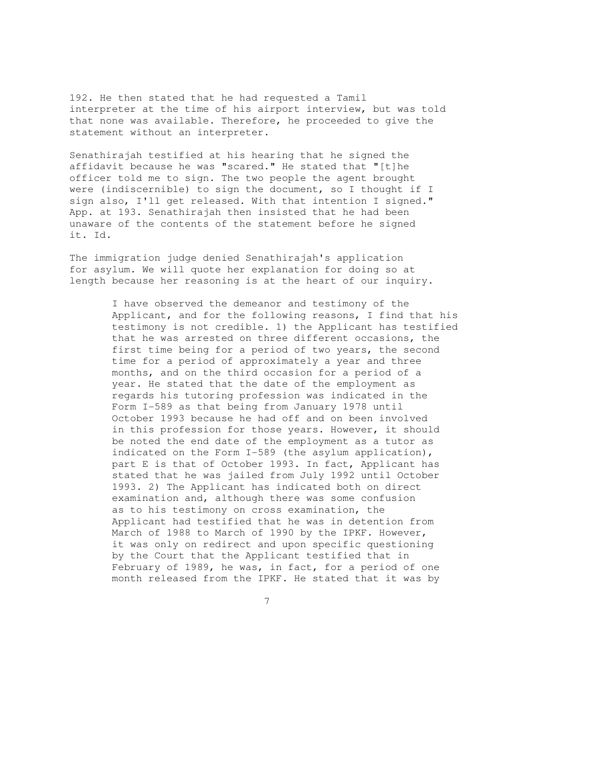192. He then stated that he had requested a Tamil interpreter at the time of his airport interview, but was told that none was available. Therefore, he proceeded to give the statement without an interpreter.

Senathirajah testified at his hearing that he signed the affidavit because he was "scared." He stated that "[t]he officer told me to sign. The two people the agent brought were (indiscernible) to sign the document, so I thought if I sign also, I'll get released. With that intention I signed." App. at 193. Senathirajah then insisted that he had been unaware of the contents of the statement before he signed it. Id.

The immigration judge denied Senathirajah's application for asylum. We will quote her explanation for doing so at length because her reasoning is at the heart of our inquiry.

> I have observed the demeanor and testimony of the Applicant, and for the following reasons, I find that his testimony is not credible. 1) the Applicant has testified that he was arrested on three different occasions, the first time being for a period of two years, the second time for a period of approximately a year and three months, and on the third occasion for a period of a year. He stated that the date of the employment as regards his tutoring profession was indicated in the Form I-589 as that being from January 1978 until October 1993 because he had off and on been involved in this profession for those years. However, it should be noted the end date of the employment as a tutor as indicated on the Form I-589 (the asylum application), part E is that of October 1993. In fact, Applicant has stated that he was jailed from July 1992 until October 1993. 2) The Applicant has indicated both on direct examination and, although there was some confusion as to his testimony on cross examination, the Applicant had testified that he was in detention from March of 1988 to March of 1990 by the IPKF. However, it was only on redirect and upon specific questioning by the Court that the Applicant testified that in February of 1989, he was, in fact, for a period of one month released from the IPKF. He stated that it was by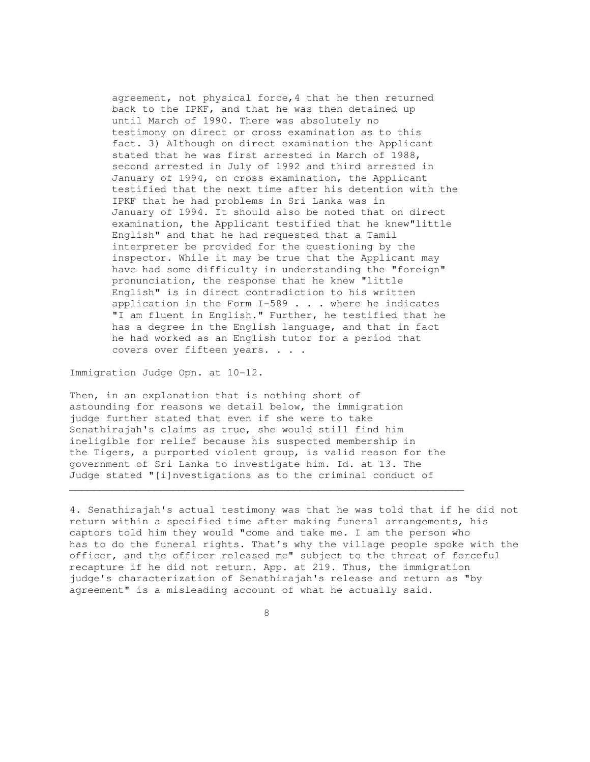agreement, not physical force,4 that he then returned back to the IPKF, and that he was then detained up until March of 1990. There was absolutely no testimony on direct or cross examination as to this fact. 3) Although on direct examination the Applicant stated that he was first arrested in March of 1988, second arrested in July of 1992 and third arrested in January of 1994, on cross examination, the Applicant testified that the next time after his detention with the IPKF that he had problems in Sri Lanka was in January of 1994. It should also be noted that on direct examination, the Applicant testified that he knew"little English" and that he had requested that a Tamil interpreter be provided for the questioning by the inspector. While it may be true that the Applicant may have had some difficulty in understanding the "foreign" pronunciation, the response that he knew "little English" is in direct contradiction to his written application in the Form I-589 . . . where he indicates "I am fluent in English." Further, he testified that he has a degree in the English language, and that in fact he had worked as an English tutor for a period that covers over fifteen years. . . .

Immigration Judge Opn. at 10-12.

Then, in an explanation that is nothing short of astounding for reasons we detail below, the immigration judge further stated that even if she were to take Senathirajah's claims as true, she would still find him ineligible for relief because his suspected membership in the Tigers, a purported violent group, is valid reason for the government of Sri Lanka to investigate him. Id. at 13. The Judge stated "[i]nvestigations as to the criminal conduct of

 $\mathcal{L}_\mathcal{L} = \{ \mathcal{L}_\mathcal{L} = \{ \mathcal{L}_\mathcal{L} = \{ \mathcal{L}_\mathcal{L} = \{ \mathcal{L}_\mathcal{L} = \{ \mathcal{L}_\mathcal{L} = \{ \mathcal{L}_\mathcal{L} = \{ \mathcal{L}_\mathcal{L} = \{ \mathcal{L}_\mathcal{L} = \{ \mathcal{L}_\mathcal{L} = \{ \mathcal{L}_\mathcal{L} = \{ \mathcal{L}_\mathcal{L} = \{ \mathcal{L}_\mathcal{L} = \{ \mathcal{L}_\mathcal{L} = \{ \mathcal{L}_\mathcal{$ 

4. Senathirajah's actual testimony was that he was told that if he did not return within a specified time after making funeral arrangements, his captors told him they would "come and take me. I am the person who has to do the funeral rights. That's why the village people spoke with the officer, and the officer released me" subject to the threat of forceful recapture if he did not return. App. at 219. Thus, the immigration judge's characterization of Senathirajah's release and return as "by agreement" is a misleading account of what he actually said.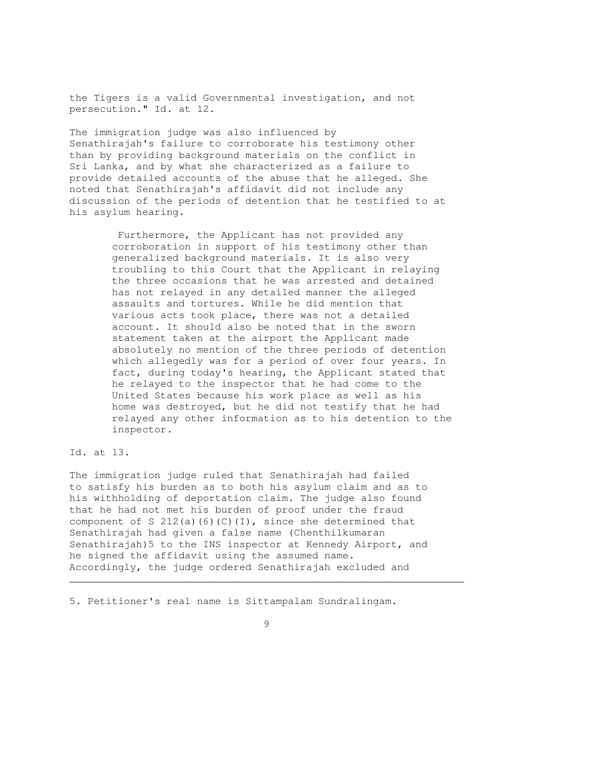the Tigers is a valid Governmental investigation, and not persecution." Id. at 12.

The immigration judge was also influenced by Senathirajah's failure to corroborate his testimony other than by providing background materials on the conflict in Sri Lanka, and by what she characterized as a failure to provide detailed accounts of the abuse that he alleged. She noted that Senathirajah's affidavit did not include any discussion of the periods of detention that he testified to at his asylum hearing.

> Furthermore, the Applicant has not provided any corroboration in support of his testimony other than generalized background materials. It is also very troubling to this Court that the Applicant in relaying the three occasions that he was arrested and detained has not relayed in any detailed manner the alleged assaults and tortures. While he did mention that various acts took place, there was not a detailed account. It should also be noted that in the sworn statement taken at the airport the Applicant made absolutely no mention of the three periods of detention which allegedly was for a period of over four years. In fact, during today's hearing, the Applicant stated that he relayed to the inspector that he had come to the United States because his work place as well as his home was destroyed, but he did not testify that he had relayed any other information as to his detention to the inspector.

Id. at 13.

The immigration judge ruled that Senathirajah had failed to satisfy his burden as to both his asylum claim and as to his withholding of deportation claim. The judge also found that he had not met his burden of proof under the fraud component of S  $212(a)(6)(C)(I)$ , since she determined that Senathirajah had given a false name (Chenthilkumaran Senathirajah)5 to the INS inspector at Kennedy Airport, and he signed the affidavit using the assumed name. Accordingly, the judge ordered Senathirajah excluded and

5. Petitioner's real name is Sittampalam Sundralingam.

 $\mathcal{L}_\mathcal{L} = \{ \mathcal{L}_\mathcal{L} = \{ \mathcal{L}_\mathcal{L} = \{ \mathcal{L}_\mathcal{L} = \{ \mathcal{L}_\mathcal{L} = \{ \mathcal{L}_\mathcal{L} = \{ \mathcal{L}_\mathcal{L} = \{ \mathcal{L}_\mathcal{L} = \{ \mathcal{L}_\mathcal{L} = \{ \mathcal{L}_\mathcal{L} = \{ \mathcal{L}_\mathcal{L} = \{ \mathcal{L}_\mathcal{L} = \{ \mathcal{L}_\mathcal{L} = \{ \mathcal{L}_\mathcal{L} = \{ \mathcal{L}_\mathcal{$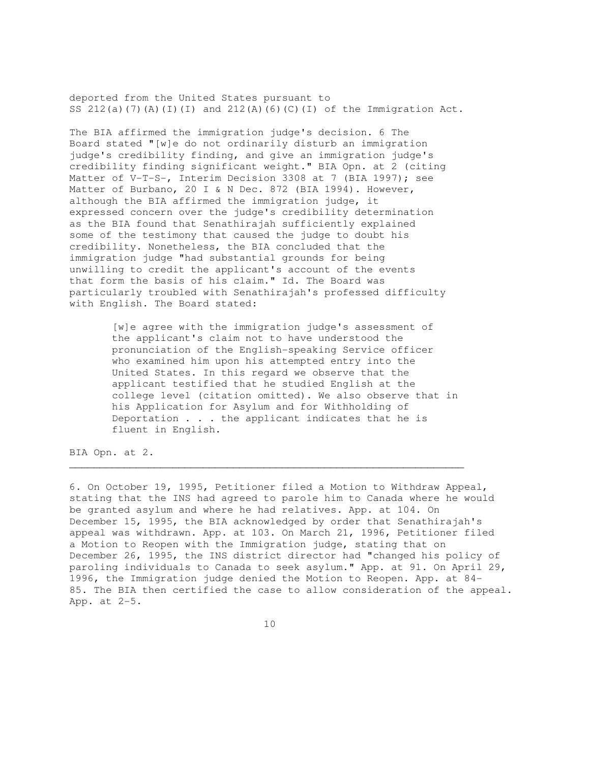deported from the United States pursuant to SS  $212(a)(7)(A)(I)(I)$  and  $212(A)(6)(C)(I)$  of the Immigration Act.

The BIA affirmed the immigration judge's decision. 6 The Board stated "[w]e do not ordinarily disturb an immigration judge's credibility finding, and give an immigration judge's credibility finding significant weight." BIA Opn. at 2 (citing Matter of V-T-S-, Interim Decision 3308 at 7 (BIA 1997); see Matter of Burbano, 20 I & N Dec. 872 (BIA 1994). However, although the BIA affirmed the immigration judge, it expressed concern over the judge's credibility determination as the BIA found that Senathirajah sufficiently explained some of the testimony that caused the judge to doubt his credibility. Nonetheless, the BIA concluded that the immigration judge "had substantial grounds for being unwilling to credit the applicant's account of the events that form the basis of his claim." Id. The Board was particularly troubled with Senathirajah's professed difficulty with English. The Board stated:

> [w]e agree with the immigration judge's assessment of the applicant's claim not to have understood the pronunciation of the English-speaking Service officer who examined him upon his attempted entry into the United States. In this regard we observe that the applicant testified that he studied English at the college level (citation omitted). We also observe that in his Application for Asylum and for Withholding of Deportation . . . the applicant indicates that he is fluent in English.

 $\mathcal{L}_\mathcal{L}$  , and the set of the set of the set of the set of the set of the set of the set of the set of the set of the set of the set of the set of the set of the set of the set of the set of the set of the set of th

BIA Opn. at 2.

6. On October 19, 1995, Petitioner filed a Motion to Withdraw Appeal, stating that the INS had agreed to parole him to Canada where he would be granted asylum and where he had relatives. App. at 104. On December 15, 1995, the BIA acknowledged by order that Senathirajah's appeal was withdrawn. App. at 103. On March 21, 1996, Petitioner filed a Motion to Reopen with the Immigration judge, stating that on December 26, 1995, the INS district director had "changed his policy of paroling individuals to Canada to seek asylum." App. at 91. On April 29, 1996, the Immigration judge denied the Motion to Reopen. App. at 84- 85. The BIA then certified the case to allow consideration of the appeal. App. at 2-5.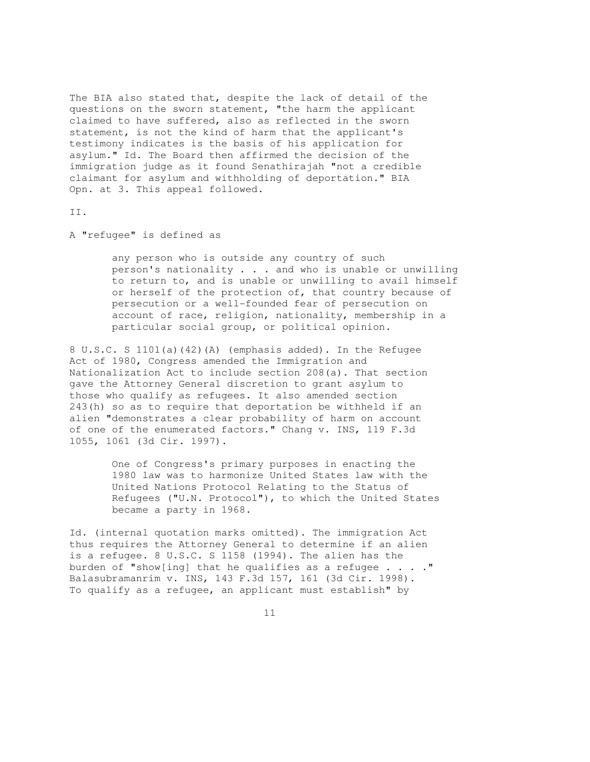The BIA also stated that, despite the lack of detail of the questions on the sworn statement, "the harm the applicant claimed to have suffered, also as reflected in the sworn statement, is not the kind of harm that the applicant's testimony indicates is the basis of his application for asylum." Id. The Board then affirmed the decision of the immigration judge as it found Senathirajah "not a credible claimant for asylum and withholding of deportation." BIA Opn. at 3. This appeal followed.

II.

A "refugee" is defined as

 any person who is outside any country of such person's nationality . . . and who is unable or unwilling to return to, and is unable or unwilling to avail himself or herself of the protection of, that country because of persecution or a well-founded fear of persecution on account of race, religion, nationality, membership in a particular social group, or political opinion.

8 U.S.C. S 1101(a)(42)(A) (emphasis added). In the Refugee Act of 1980, Congress amended the Immigration and Nationalization Act to include section 208(a). That section gave the Attorney General discretion to grant asylum to those who qualify as refugees. It also amended section 243(h) so as to require that deportation be withheld if an alien "demonstrates a clear probability of harm on account of one of the enumerated factors." Chang v. INS, 119 F.3d 1055, 1061 (3d Cir. 1997).

> One of Congress's primary purposes in enacting the 1980 law was to harmonize United States law with the United Nations Protocol Relating to the Status of Refugees ("U.N. Protocol"), to which the United States became a party in 1968.

Id. (internal quotation marks omitted). The immigration Act thus requires the Attorney General to determine if an alien is a refugee. 8 U.S.C. S 1158 (1994). The alien has the burden of "show[ing] that he qualifies as a refugee  $\ldots$ ." Balasubramanrim v. INS, 143 F.3d 157, 161 (3d Cir. 1998). To qualify as a refugee, an applicant must establish" by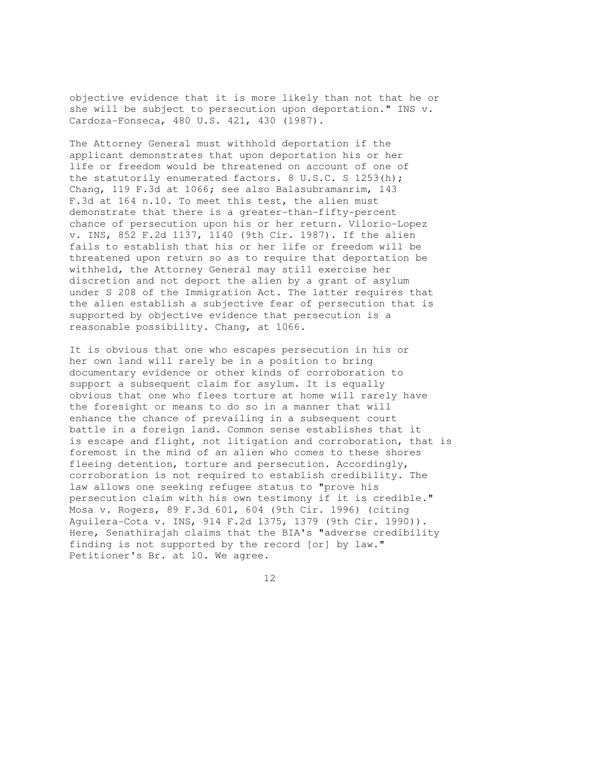objective evidence that it is more likely than not that he or she will be subject to persecution upon deportation." INS v. Cardoza-Fonseca, 480 U.S. 421, 430 (1987).

The Attorney General must withhold deportation if the applicant demonstrates that upon deportation his or her life or freedom would be threatened on account of one of the statutorily enumerated factors. 8 U.S.C. S 1253(h); Chang, 119 F.3d at 1066; see also Balasubramanrim, 143 F.3d at 164 n.10. To meet this test, the alien must demonstrate that there is a greater-than-fifty-percent chance of persecution upon his or her return. Vilorio-Lopez v. INS, 852 F.2d 1137, 1140 (9th Cir. 1987). If the alien fails to establish that his or her life or freedom will be threatened upon return so as to require that deportation be withheld, the Attorney General may still exercise her discretion and not deport the alien by a grant of asylum under S 208 of the Immigration Act. The latter requires that the alien establish a subjective fear of persecution that is supported by objective evidence that persecution is a reasonable possibility. Chang, at 1066.

It is obvious that one who escapes persecution in his or her own land will rarely be in a position to bring documentary evidence or other kinds of corroboration to support a subsequent claim for asylum. It is equally obvious that one who flees torture at home will rarely have the foresight or means to do so in a manner that will enhance the chance of prevailing in a subsequent court battle in a foreign land. Common sense establishes that it is escape and flight, not litigation and corroboration, that is foremost in the mind of an alien who comes to these shores fleeing detention, torture and persecution. Accordingly, corroboration is not required to establish credibility. The law allows one seeking refugee status to "prove his persecution claim with his own testimony if it is credible." Mosa v. Rogers, 89 F.3d 601, 604 (9th Cir. 1996) (citing Aguilera-Cota v. INS, 914 F.2d 1375, 1379 (9th Cir. 1990)). Here, Senathirajah claims that the BIA's "adverse credibility finding is not supported by the record [or] by law." Petitioner's Br. at 10. We agree.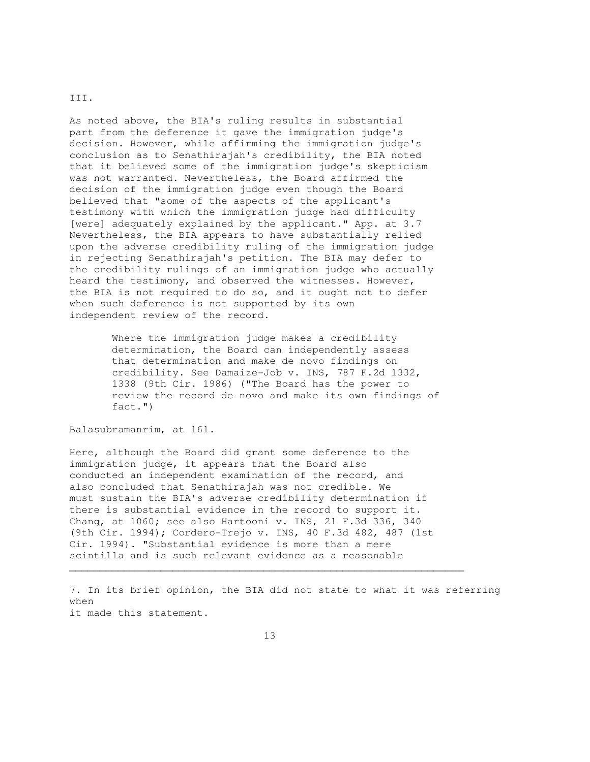## III.

As noted above, the BIA's ruling results in substantial part from the deference it gave the immigration judge's decision. However, while affirming the immigration judge's conclusion as to Senathirajah's credibility, the BIA noted that it believed some of the immigration judge's skepticism was not warranted. Nevertheless, the Board affirmed the decision of the immigration judge even though the Board believed that "some of the aspects of the applicant's testimony with which the immigration judge had difficulty [were] adequately explained by the applicant." App. at 3.7 Nevertheless, the BIA appears to have substantially relied upon the adverse credibility ruling of the immigration judge in rejecting Senathirajah's petition. The BIA may defer to the credibility rulings of an immigration judge who actually heard the testimony, and observed the witnesses. However, the BIA is not required to do so, and it ought not to defer when such deference is not supported by its own independent review of the record.

> Where the immigration judge makes a credibility determination, the Board can independently assess that determination and make de novo findings on credibility. See Damaize-Job v. INS, 787 F.2d 1332, 1338 (9th Cir. 1986) ("The Board has the power to review the record de novo and make its own findings of fact.")

Balasubramanrim, at 161.

Here, although the Board did grant some deference to the immigration judge, it appears that the Board also conducted an independent examination of the record, and also concluded that Senathirajah was not credible. We must sustain the BIA's adverse credibility determination if there is substantial evidence in the record to support it. Chang, at 1060; see also Hartooni v. INS, 21 F.3d 336, 340 (9th Cir. 1994); Cordero-Trejo v. INS, 40 F.3d 482, 487 (1st Cir. 1994). "Substantial evidence is more than a mere scintilla and is such relevant evidence as a reasonable

7. In its brief opinion, the BIA did not state to what it was referring when it made this statement.

 $\mathcal{L}_\mathcal{L} = \{ \mathcal{L}_\mathcal{L} = \{ \mathcal{L}_\mathcal{L} = \{ \mathcal{L}_\mathcal{L} = \{ \mathcal{L}_\mathcal{L} = \{ \mathcal{L}_\mathcal{L} = \{ \mathcal{L}_\mathcal{L} = \{ \mathcal{L}_\mathcal{L} = \{ \mathcal{L}_\mathcal{L} = \{ \mathcal{L}_\mathcal{L} = \{ \mathcal{L}_\mathcal{L} = \{ \mathcal{L}_\mathcal{L} = \{ \mathcal{L}_\mathcal{L} = \{ \mathcal{L}_\mathcal{L} = \{ \mathcal{L}_\mathcal{$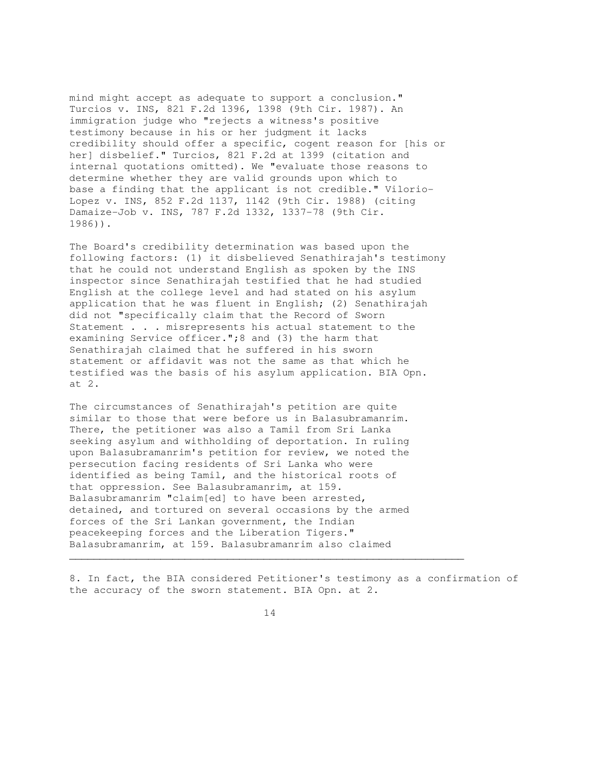mind might accept as adequate to support a conclusion." Turcios v. INS, 821 F.2d 1396, 1398 (9th Cir. 1987). An immigration judge who "rejects a witness's positive testimony because in his or her judgment it lacks credibility should offer a specific, cogent reason for [his or her] disbelief." Turcios, 821 F.2d at 1399 (citation and internal quotations omitted). We "evaluate those reasons to determine whether they are valid grounds upon which to base a finding that the applicant is not credible." Vilorio-Lopez v. INS, 852 F.2d 1137, 1142 (9th Cir. 1988) (citing Damaize-Job v. INS, 787 F.2d 1332, 1337-78 (9th Cir. 1986)).

The Board's credibility determination was based upon the following factors: (1) it disbelieved Senathirajah's testimony that he could not understand English as spoken by the INS inspector since Senathirajah testified that he had studied English at the college level and had stated on his asylum application that he was fluent in English; (2) Senathirajah did not "specifically claim that the Record of Sworn Statement . . . misrepresents his actual statement to the examining Service officer.";8 and (3) the harm that Senathirajah claimed that he suffered in his sworn statement or affidavit was not the same as that which he testified was the basis of his asylum application. BIA Opn. at 2.

The circumstances of Senathirajah's petition are quite similar to those that were before us in Balasubramanrim. There, the petitioner was also a Tamil from Sri Lanka seeking asylum and withholding of deportation. In ruling upon Balasubramanrim's petition for review, we noted the persecution facing residents of Sri Lanka who were identified as being Tamil, and the historical roots of that oppression. See Balasubramanrim, at 159. Balasubramanrim "claim[ed] to have been arrested, detained, and tortured on several occasions by the armed forces of the Sri Lankan government, the Indian peacekeeping forces and the Liberation Tigers." Balasubramanrim, at 159. Balasubramanrim also claimed

8. In fact, the BIA considered Petitioner's testimony as a confirmation of the accuracy of the sworn statement. BIA Opn. at 2.

14

 $\mathcal{L}_\mathcal{L}$  , and the set of the set of the set of the set of the set of the set of the set of the set of the set of the set of the set of the set of the set of the set of the set of the set of the set of the set of th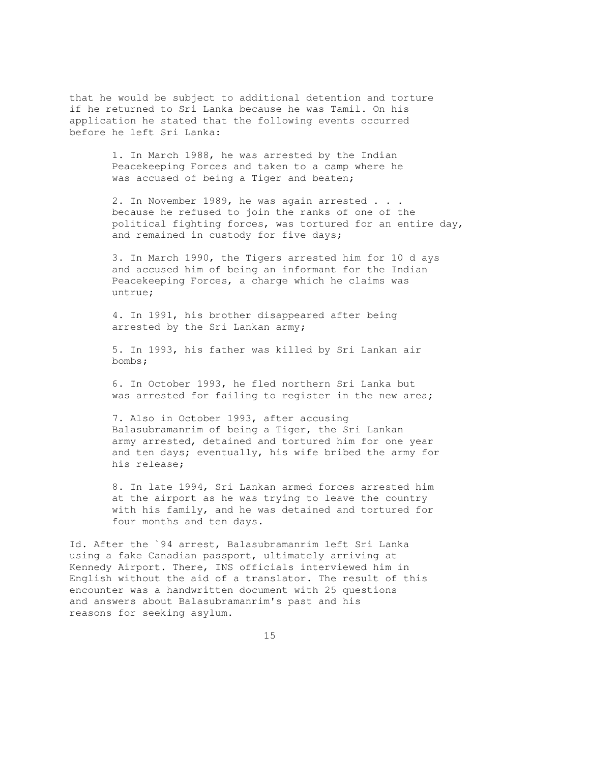that he would be subject to additional detention and torture if he returned to Sri Lanka because he was Tamil. On his application he stated that the following events occurred before he left Sri Lanka:

> 1. In March 1988, he was arrested by the Indian Peacekeeping Forces and taken to a camp where he was accused of being a Tiger and beaten;

2. In November 1989, he was again arrested . . . because he refused to join the ranks of one of the political fighting forces, was tortured for an entire day, and remained in custody for five days;

 3. In March 1990, the Tigers arrested him for 10 d ays and accused him of being an informant for the Indian Peacekeeping Forces, a charge which he claims was untrue;

 4. In 1991, his brother disappeared after being arrested by the Sri Lankan army;

 5. In 1993, his father was killed by Sri Lankan air bombs;

 6. In October 1993, he fled northern Sri Lanka but was arrested for failing to register in the new area;

 7. Also in October 1993, after accusing Balasubramanrim of being a Tiger, the Sri Lankan army arrested, detained and tortured him for one year and ten days; eventually, his wife bribed the army for his release;

 8. In late 1994, Sri Lankan armed forces arrested him at the airport as he was trying to leave the country with his family, and he was detained and tortured for four months and ten days.

Id. After the `94 arrest, Balasubramanrim left Sri Lanka using a fake Canadian passport, ultimately arriving at Kennedy Airport. There, INS officials interviewed him in English without the aid of a translator. The result of this encounter was a handwritten document with 25 questions and answers about Balasubramanrim's past and his reasons for seeking asylum.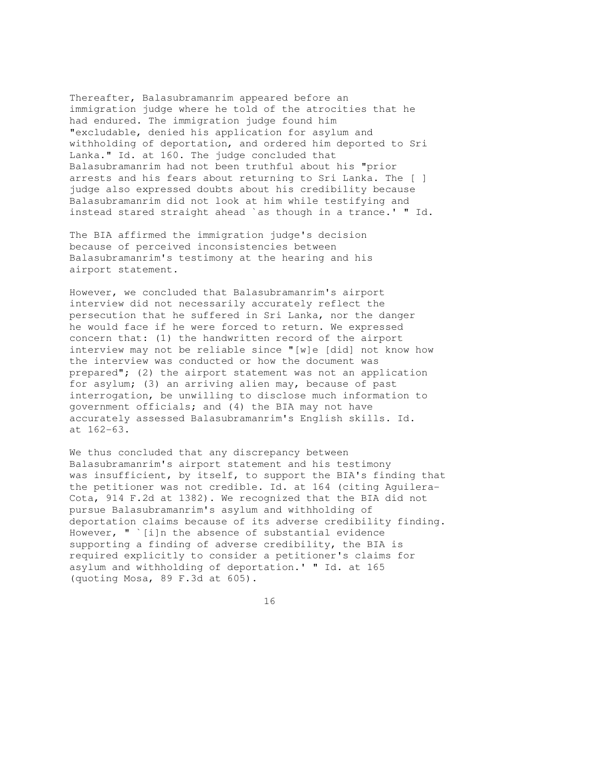Thereafter, Balasubramanrim appeared before an immigration judge where he told of the atrocities that he had endured. The immigration judge found him "excludable, denied his application for asylum and withholding of deportation, and ordered him deported to Sri Lanka." Id. at 160. The judge concluded that Balasubramanrim had not been truthful about his "prior arrests and his fears about returning to Sri Lanka. The [ ] judge also expressed doubts about his credibility because Balasubramanrim did not look at him while testifying and instead stared straight ahead `as though in a trance.' " Id.

The BIA affirmed the immigration judge's decision because of perceived inconsistencies between Balasubramanrim's testimony at the hearing and his airport statement.

However, we concluded that Balasubramanrim's airport interview did not necessarily accurately reflect the persecution that he suffered in Sri Lanka, nor the danger he would face if he were forced to return. We expressed concern that: (1) the handwritten record of the airport interview may not be reliable since "[w]e [did] not know how the interview was conducted or how the document was prepared"; (2) the airport statement was not an application for asylum; (3) an arriving alien may, because of past interrogation, be unwilling to disclose much information to government officials; and (4) the BIA may not have accurately assessed Balasubramanrim's English skills. Id. at 162-63.

We thus concluded that any discrepancy between Balasubramanrim's airport statement and his testimony was insufficient, by itself, to support the BIA's finding that the petitioner was not credible. Id. at 164 (citing Aguilera-Cota, 914 F.2d at 1382). We recognized that the BIA did not pursue Balasubramanrim's asylum and withholding of deportation claims because of its adverse credibility finding. However, " `[i]n the absence of substantial evidence supporting a finding of adverse credibility, the BIA is required explicitly to consider a petitioner's claims for asylum and withholding of deportation.' " Id. at 165 (quoting Mosa, 89 F.3d at 605).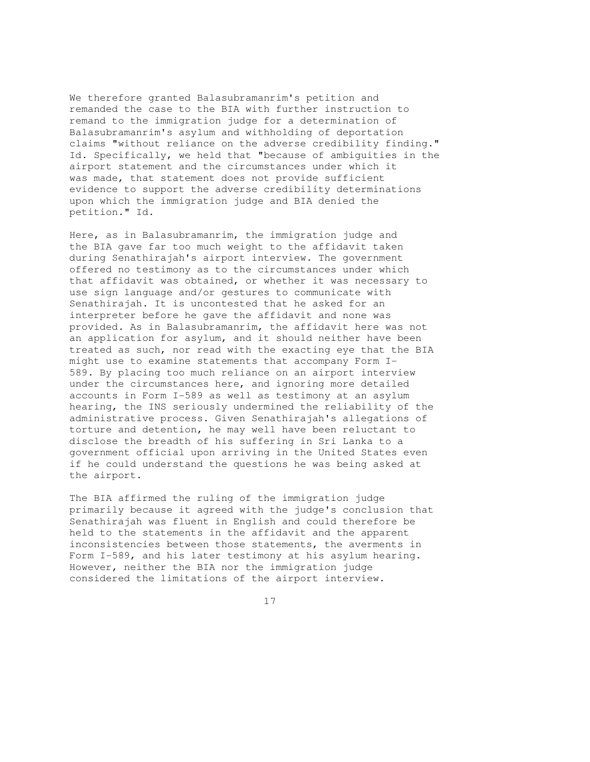We therefore granted Balasubramanrim's petition and remanded the case to the BIA with further instruction to remand to the immigration judge for a determination of Balasubramanrim's asylum and withholding of deportation claims "without reliance on the adverse credibility finding." Id. Specifically, we held that "because of ambiguities in the airport statement and the circumstances under which it was made, that statement does not provide sufficient evidence to support the adverse credibility determinations upon which the immigration judge and BIA denied the petition." Id.

Here, as in Balasubramanrim, the immigration judge and the BIA gave far too much weight to the affidavit taken during Senathirajah's airport interview. The government offered no testimony as to the circumstances under which that affidavit was obtained, or whether it was necessary to use sign language and/or gestures to communicate with Senathirajah. It is uncontested that he asked for an interpreter before he gave the affidavit and none was provided. As in Balasubramanrim, the affidavit here was not an application for asylum, and it should neither have been treated as such, nor read with the exacting eye that the BIA might use to examine statements that accompany Form I-589. By placing too much reliance on an airport interview under the circumstances here, and ignoring more detailed accounts in Form I-589 as well as testimony at an asylum hearing, the INS seriously undermined the reliability of the administrative process. Given Senathirajah's allegations of torture and detention, he may well have been reluctant to disclose the breadth of his suffering in Sri Lanka to a government official upon arriving in the United States even if he could understand the questions he was being asked at the airport.

The BIA affirmed the ruling of the immigration judge primarily because it agreed with the judge's conclusion that Senathirajah was fluent in English and could therefore be held to the statements in the affidavit and the apparent inconsistencies between those statements, the averments in Form I-589, and his later testimony at his asylum hearing. However, neither the BIA nor the immigration judge considered the limitations of the airport interview.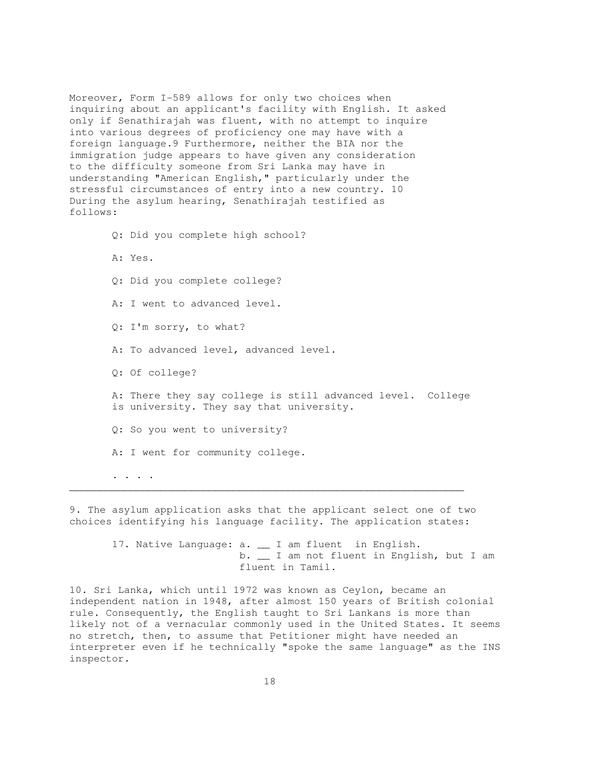Moreover, Form I-589 allows for only two choices when inquiring about an applicant's facility with English. It asked only if Senathirajah was fluent, with no attempt to inquire into various degrees of proficiency one may have with a foreign language.9 Furthermore, neither the BIA nor the immigration judge appears to have given any consideration to the difficulty someone from Sri Lanka may have in understanding "American English," particularly under the stressful circumstances of entry into a new country. 10 During the asylum hearing, Senathirajah testified as follows:

 Q: Did you complete high school? A: Yes. Q: Did you complete college? A: I went to advanced level. Q: I'm sorry, to what? A: To advanced level, advanced level. Q: Of college? A: There they say college is still advanced level. College is university. They say that university. Q: So you went to university? A: I went for community college. . . . .  $\mathcal{L}_\mathcal{L} = \{ \mathcal{L}_\mathcal{L} = \{ \mathcal{L}_\mathcal{L} = \{ \mathcal{L}_\mathcal{L} = \{ \mathcal{L}_\mathcal{L} = \{ \mathcal{L}_\mathcal{L} = \{ \mathcal{L}_\mathcal{L} = \{ \mathcal{L}_\mathcal{L} = \{ \mathcal{L}_\mathcal{L} = \{ \mathcal{L}_\mathcal{L} = \{ \mathcal{L}_\mathcal{L} = \{ \mathcal{L}_\mathcal{L} = \{ \mathcal{L}_\mathcal{L} = \{ \mathcal{L}_\mathcal{L} = \{ \mathcal{L}_\mathcal{$ 

9. The asylum application asks that the applicant select one of two choices identifying his language facility. The application states:

17. Native Language: a. \_\_ I am fluent in English. b. \_\_ I am not fluent in English, but I am fluent in Tamil.

10. Sri Lanka, which until 1972 was known as Ceylon, became an independent nation in 1948, after almost 150 years of British colonial rule. Consequently, the English taught to Sri Lankans is more than likely not of a vernacular commonly used in the United States. It seems no stretch, then, to assume that Petitioner might have needed an interpreter even if he technically "spoke the same language" as the INS inspector.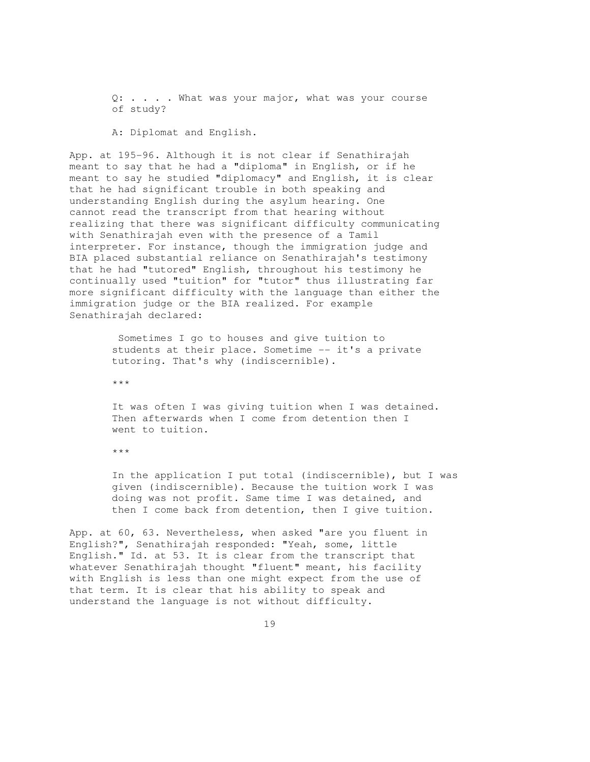Q: . . . . What was your major, what was your course of study?

A: Diplomat and English.

App. at 195-96. Although it is not clear if Senathirajah meant to say that he had a "diploma" in English, or if he meant to say he studied "diplomacy" and English, it is clear that he had significant trouble in both speaking and understanding English during the asylum hearing. One cannot read the transcript from that hearing without realizing that there was significant difficulty communicating with Senathirajah even with the presence of a Tamil interpreter. For instance, though the immigration judge and BIA placed substantial reliance on Senathirajah's testimony that he had "tutored" English, throughout his testimony he continually used "tuition" for "tutor" thus illustrating far more significant difficulty with the language than either the immigration judge or the BIA realized. For example Senathirajah declared:

> Sometimes I go to houses and give tuition to students at their place. Sometime -- it's a private tutoring. That's why (indiscernible).

\*\*\*

 It was often I was giving tuition when I was detained. Then afterwards when I come from detention then I went to tuition.

\*\*\*

 In the application I put total (indiscernible), but I was given (indiscernible). Because the tuition work I was doing was not profit. Same time I was detained, and then I come back from detention, then I give tuition.

App. at 60, 63. Nevertheless, when asked "are you fluent in English?", Senathirajah responded: "Yeah, some, little English." Id. at 53. It is clear from the transcript that whatever Senathirajah thought "fluent" meant, his facility with English is less than one might expect from the use of that term. It is clear that his ability to speak and understand the language is not without difficulty.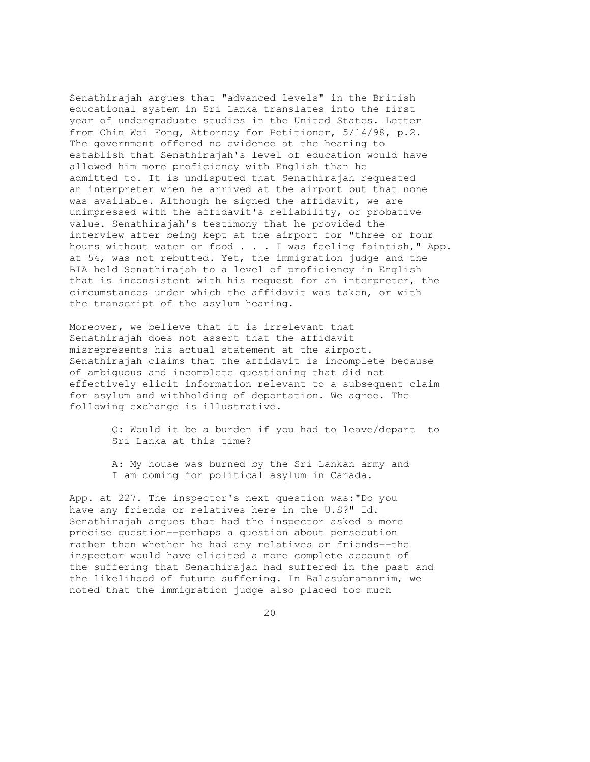Senathirajah argues that "advanced levels" in the British educational system in Sri Lanka translates into the first year of undergraduate studies in the United States. Letter from Chin Wei Fong, Attorney for Petitioner, 5/14/98, p.2. The government offered no evidence at the hearing to establish that Senathirajah's level of education would have allowed him more proficiency with English than he admitted to. It is undisputed that Senathirajah requested an interpreter when he arrived at the airport but that none was available. Although he signed the affidavit, we are unimpressed with the affidavit's reliability, or probative value. Senathirajah's testimony that he provided the interview after being kept at the airport for "three or four hours without water or food . . . I was feeling faintish," App. at 54, was not rebutted. Yet, the immigration judge and the BIA held Senathirajah to a level of proficiency in English that is inconsistent with his request for an interpreter, the circumstances under which the affidavit was taken, or with the transcript of the asylum hearing.

Moreover, we believe that it is irrelevant that Senathirajah does not assert that the affidavit misrepresents his actual statement at the airport. Senathirajah claims that the affidavit is incomplete because of ambiguous and incomplete questioning that did not effectively elicit information relevant to a subsequent claim for asylum and withholding of deportation. We agree. The following exchange is illustrative.

> Q: Would it be a burden if you had to leave/depart to Sri Lanka at this time?

 A: My house was burned by the Sri Lankan army and I am coming for political asylum in Canada.

App. at 227. The inspector's next question was:"Do you have any friends or relatives here in the U.S?" Id. Senathirajah argues that had the inspector asked a more precise question--perhaps a question about persecution rather then whether he had any relatives or friends--the inspector would have elicited a more complete account of the suffering that Senathirajah had suffered in the past and the likelihood of future suffering. In Balasubramanrim, we noted that the immigration judge also placed too much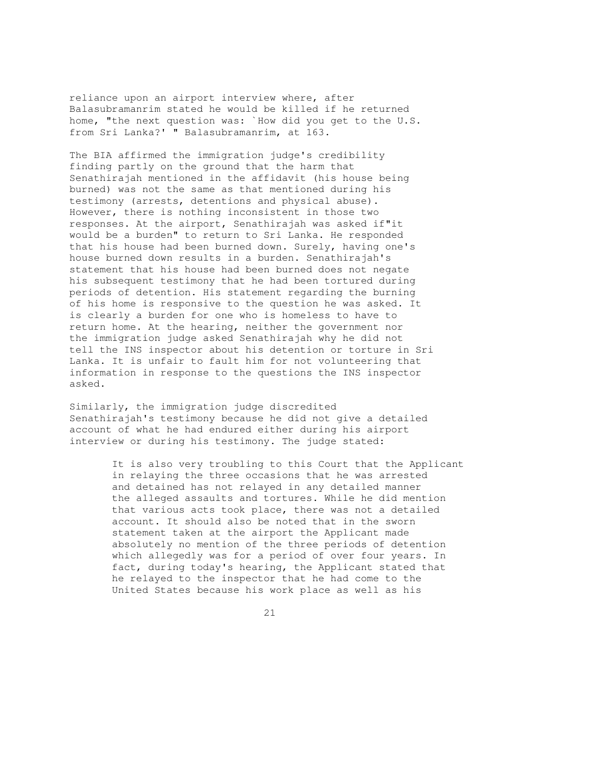reliance upon an airport interview where, after Balasubramanrim stated he would be killed if he returned home, "the next question was: `How did you get to the U.S. from Sri Lanka?' " Balasubramanrim, at 163.

The BIA affirmed the immigration judge's credibility finding partly on the ground that the harm that Senathirajah mentioned in the affidavit (his house being burned) was not the same as that mentioned during his testimony (arrests, detentions and physical abuse). However, there is nothing inconsistent in those two responses. At the airport, Senathirajah was asked if"it would be a burden" to return to Sri Lanka. He responded that his house had been burned down. Surely, having one's house burned down results in a burden. Senathirajah's statement that his house had been burned does not negate his subsequent testimony that he had been tortured during periods of detention. His statement regarding the burning of his home is responsive to the question he was asked. It is clearly a burden for one who is homeless to have to return home. At the hearing, neither the government nor the immigration judge asked Senathirajah why he did not tell the INS inspector about his detention or torture in Sri Lanka. It is unfair to fault him for not volunteering that information in response to the questions the INS inspector asked.

Similarly, the immigration judge discredited Senathirajah's testimony because he did not give a detailed account of what he had endured either during his airport interview or during his testimony. The judge stated:

> It is also very troubling to this Court that the Applicant in relaying the three occasions that he was arrested and detained has not relayed in any detailed manner the alleged assaults and tortures. While he did mention that various acts took place, there was not a detailed account. It should also be noted that in the sworn statement taken at the airport the Applicant made absolutely no mention of the three periods of detention which allegedly was for a period of over four years. In fact, during today's hearing, the Applicant stated that he relayed to the inspector that he had come to the United States because his work place as well as his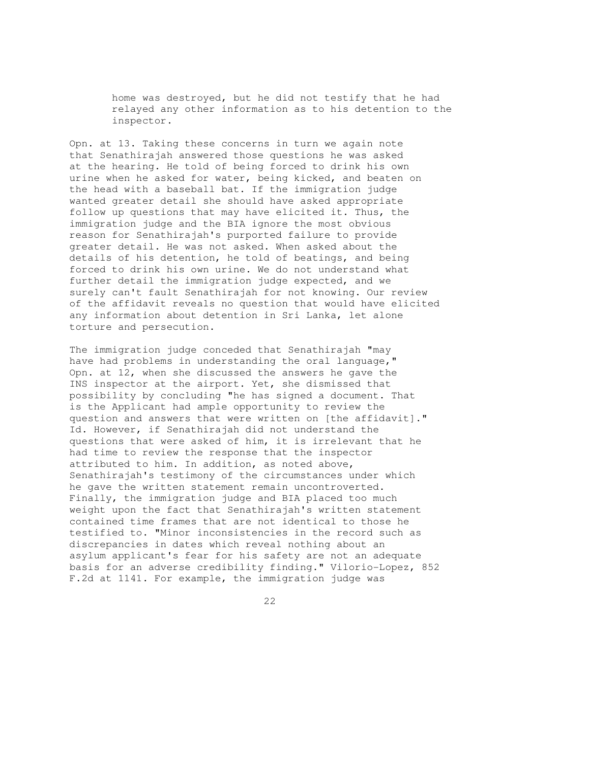home was destroyed, but he did not testify that he had relayed any other information as to his detention to the inspector.

Opn. at 13. Taking these concerns in turn we again note that Senathirajah answered those questions he was asked at the hearing. He told of being forced to drink his own urine when he asked for water, being kicked, and beaten on the head with a baseball bat. If the immigration judge wanted greater detail she should have asked appropriate follow up questions that may have elicited it. Thus, the immigration judge and the BIA ignore the most obvious reason for Senathirajah's purported failure to provide greater detail. He was not asked. When asked about the details of his detention, he told of beatings, and being forced to drink his own urine. We do not understand what further detail the immigration judge expected, and we surely can't fault Senathirajah for not knowing. Our review of the affidavit reveals no question that would have elicited any information about detention in Sri Lanka, let alone torture and persecution.

The immigration judge conceded that Senathirajah "may have had problems in understanding the oral language," Opn. at 12, when she discussed the answers he gave the INS inspector at the airport. Yet, she dismissed that possibility by concluding "he has signed a document. That is the Applicant had ample opportunity to review the question and answers that were written on [the affidavit]." Id. However, if Senathirajah did not understand the questions that were asked of him, it is irrelevant that he had time to review the response that the inspector attributed to him. In addition, as noted above, Senathirajah's testimony of the circumstances under which he gave the written statement remain uncontroverted. Finally, the immigration judge and BIA placed too much weight upon the fact that Senathirajah's written statement contained time frames that are not identical to those he testified to. "Minor inconsistencies in the record such as discrepancies in dates which reveal nothing about an asylum applicant's fear for his safety are not an adequate basis for an adverse credibility finding." Vilorio-Lopez, 852 F.2d at 1141. For example, the immigration judge was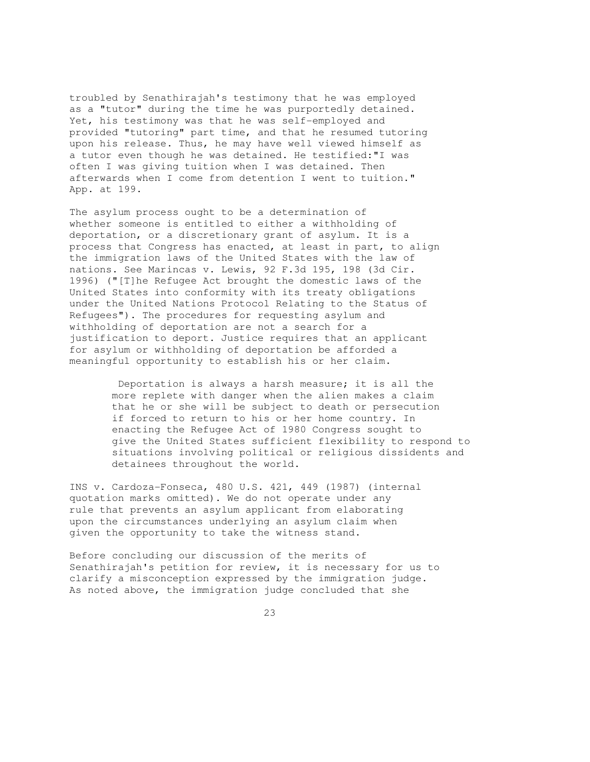troubled by Senathirajah's testimony that he was employed as a "tutor" during the time he was purportedly detained. Yet, his testimony was that he was self-employed and provided "tutoring" part time, and that he resumed tutoring upon his release. Thus, he may have well viewed himself as a tutor even though he was detained. He testified:"I was often I was giving tuition when I was detained. Then afterwards when I come from detention I went to tuition." App. at 199.

The asylum process ought to be a determination of whether someone is entitled to either a withholding of deportation, or a discretionary grant of asylum. It is a process that Congress has enacted, at least in part, to align the immigration laws of the United States with the law of nations. See Marincas v. Lewis, 92 F.3d 195, 198 (3d Cir. 1996) ("[T]he Refugee Act brought the domestic laws of the United States into conformity with its treaty obligations under the United Nations Protocol Relating to the Status of Refugees"). The procedures for requesting asylum and withholding of deportation are not a search for a justification to deport. Justice requires that an applicant for asylum or withholding of deportation be afforded a meaningful opportunity to establish his or her claim.

> Deportation is always a harsh measure; it is all the more replete with danger when the alien makes a claim that he or she will be subject to death or persecution if forced to return to his or her home country. In enacting the Refugee Act of 1980 Congress sought to give the United States sufficient flexibility to respond to situations involving political or religious dissidents and detainees throughout the world.

INS v. Cardoza-Fonseca, 480 U.S. 421, 449 (1987) (internal quotation marks omitted). We do not operate under any rule that prevents an asylum applicant from elaborating upon the circumstances underlying an asylum claim when given the opportunity to take the witness stand.

Before concluding our discussion of the merits of Senathirajah's petition for review, it is necessary for us to clarify a misconception expressed by the immigration judge. As noted above, the immigration judge concluded that she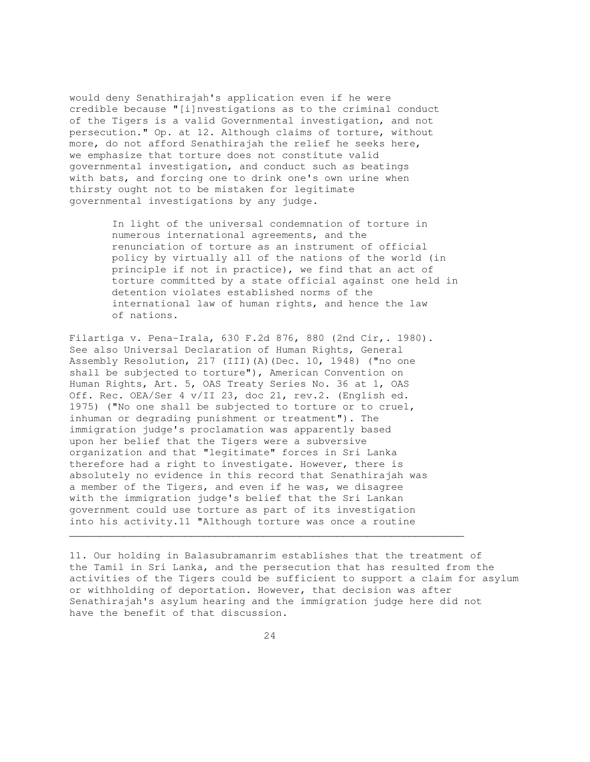would deny Senathirajah's application even if he were credible because "[i]nvestigations as to the criminal conduct of the Tigers is a valid Governmental investigation, and not persecution." Op. at 12. Although claims of torture, without more, do not afford Senathirajah the relief he seeks here, we emphasize that torture does not constitute valid governmental investigation, and conduct such as beatings with bats, and forcing one to drink one's own urine when thirsty ought not to be mistaken for legitimate governmental investigations by any judge.

> In light of the universal condemnation of torture in numerous international agreements, and the renunciation of torture as an instrument of official policy by virtually all of the nations of the world (in principle if not in practice), we find that an act of torture committed by a state official against one held in detention violates established norms of the international law of human rights, and hence the law of nations.

Filartiga v. Pena-Irala, 630 F.2d 876, 880 (2nd Cir,. 1980). See also Universal Declaration of Human Rights, General Assembly Resolution, 217 (III)(A)(Dec. 10, 1948) ("no one shall be subjected to torture"), American Convention on Human Rights, Art. 5, OAS Treaty Series No. 36 at 1, OAS Off. Rec. OEA/Ser 4 v/II 23, doc 21, rev.2. (English ed. 1975) ("No one shall be subjected to torture or to cruel, inhuman or degrading punishment or treatment"). The immigration judge's proclamation was apparently based upon her belief that the Tigers were a subversive organization and that "legitimate" forces in Sri Lanka therefore had a right to investigate. However, there is absolutely no evidence in this record that Senathirajah was a member of the Tigers, and even if he was, we disagree with the immigration judge's belief that the Sri Lankan government could use torture as part of its investigation into his activity.11 "Although torture was once a routine

11. Our holding in Balasubramanrim establishes that the treatment of the Tamil in Sri Lanka, and the persecution that has resulted from the activities of the Tigers could be sufficient to support a claim for asylum or withholding of deportation. However, that decision was after Senathirajah's asylum hearing and the immigration judge here did not have the benefit of that discussion.

 $\mathcal{L}_\mathcal{L} = \{ \mathcal{L}_\mathcal{L} = \{ \mathcal{L}_\mathcal{L} = \{ \mathcal{L}_\mathcal{L} = \{ \mathcal{L}_\mathcal{L} = \{ \mathcal{L}_\mathcal{L} = \{ \mathcal{L}_\mathcal{L} = \{ \mathcal{L}_\mathcal{L} = \{ \mathcal{L}_\mathcal{L} = \{ \mathcal{L}_\mathcal{L} = \{ \mathcal{L}_\mathcal{L} = \{ \mathcal{L}_\mathcal{L} = \{ \mathcal{L}_\mathcal{L} = \{ \mathcal{L}_\mathcal{L} = \{ \mathcal{L}_\mathcal{$